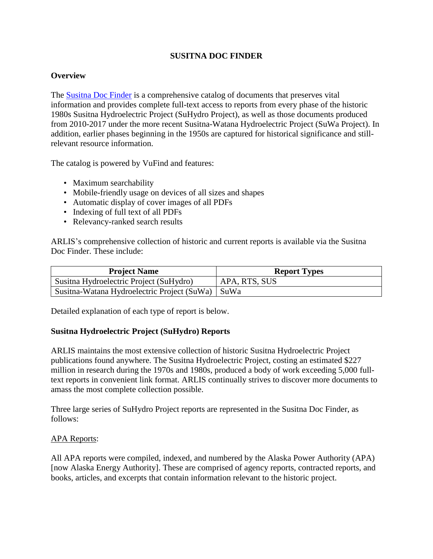### **SUSITNA DOC FINDER**

#### **Overview**

The [Susitna Doc Finder](https://web.archive.org/web/20170706015149/http:/www.arlis.org/susitnadocfinder/) is a comprehensive catalog of documents that preserves vital information and provides complete full-text access to reports from every phase of the historic 1980s Susitna Hydroelectric Project (SuHydro Project), as well as those documents produced from 2010-2017 under the more recent Susitna-Watana Hydroelectric Project (SuWa Project). In addition, earlier phases beginning in the 1950s are captured for historical significance and stillrelevant resource information.

The catalog is powered by VuFind and features:

- Maximum searchability
- Mobile-friendly usage on devices of all sizes and shapes
- Automatic display of cover images of all PDFs
- Indexing of full text of all PDFs
- Relevancy-ranked search results

ARLIS's comprehensive collection of historic and current reports is available via the Susitna Doc Finder. These include:

| <b>Project Name</b>                                | <b>Report Types</b> |
|----------------------------------------------------|---------------------|
| Susitna Hydroelectric Project (SuHydro)            | APA, RTS, SUS       |
| Susitna-Watana Hydroelectric Project (SuWa)   SuWa |                     |

Detailed explanation of each type of report is below.

#### **Susitna Hydroelectric Project (SuHydro) Reports**

ARLIS maintains the most extensive collection of historic Susitna Hydroelectric Project publications found anywhere. The Susitna Hydroelectric Project, costing an estimated \$227 million in research during the 1970s and 1980s, produced a body of work exceeding 5,000 fulltext reports in convenient link format. ARLIS continually strives to discover more documents to amass the most complete collection possible.

Three large series of SuHydro Project reports are represented in the Susitna Doc Finder, as follows:

### APA Reports:

All APA reports were compiled, indexed, and numbered by the Alaska Power Authority (APA) [now Alaska Energy Authority]. These are comprised of agency reports, contracted reports, and books, articles, and excerpts that contain information relevant to the historic project.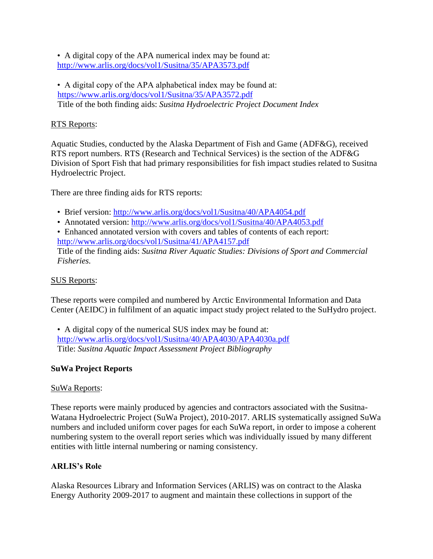• A digital copy of the APA numerical index may be found at: <http://www.arlis.org/docs/vol1/Susitna/35/APA3573.pdf>

• A digital copy of the APA alphabetical index may be found at: <https://www.arlis.org/docs/vol1/Susitna/35/APA3572.pdf> Title of the both finding aids: *Susitna Hydroelectric Project Document Index*

# RTS Reports:

Aquatic Studies, conducted by the Alaska Department of Fish and Game (ADF&G), received RTS report numbers. RTS (Research and Technical Services) is the section of the ADF&G Division of Sport Fish that had primary responsibilities for fish impact studies related to Susitna Hydroelectric Project.

There are three finding aids for RTS reports:

- Brief version:<http://www.arlis.org/docs/vol1/Susitna/40/APA4054.pdf>
- Annotated version:<http://www.arlis.org/docs/vol1/Susitna/40/APA4053.pdf>
- Enhanced annotated version with covers and tables of contents of each report: <http://www.arlis.org/docs/vol1/Susitna/41/APA4157.pdf>

Title of the finding aids: *Susitna River Aquatic Studies: Divisions of Sport and Commercial Fisheries.*

### SUS Reports:

These reports were compiled and numbered by Arctic Environmental Information and Data Center (AEIDC) in fulfilment of an aquatic impact study project related to the SuHydro project.

• A digital copy of the numerical SUS index may be found at: <http://www.arlis.org/docs/vol1/Susitna/40/APA4030/APA4030a.pdf> Title: *Susitna Aquatic Impact Assessment Project Bibliography*

# **SuWa Project Reports**

### SuWa Reports:

These reports were mainly produced by agencies and contractors associated with the Susitna-Watana Hydroelectric Project (SuWa Project), 2010-2017. ARLIS systematically assigned SuWa numbers and included uniform cover pages for each SuWa report, in order to impose a coherent numbering system to the overall report series which was individually issued by many different entities with little internal numbering or naming consistency.

# **ARLIS's Role**

Alaska Resources Library and Information Services (ARLIS) was on contract to the Alaska Energy Authority 2009-2017 to augment and maintain these collections in support of the